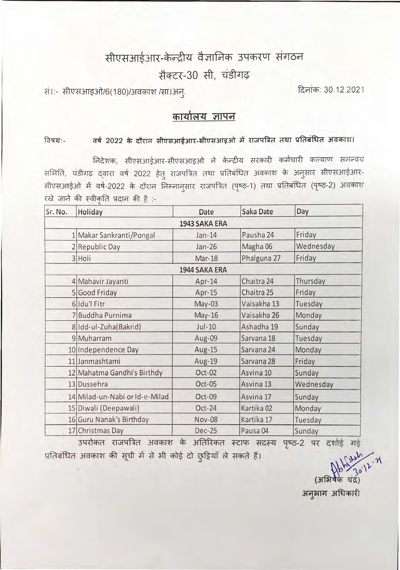# सीएसआईआर-केन्द्रीय वैज्ञानिक उपकरण संगठन

## सैक्टर-30 सी. चंडीगढ

सं।:- सीएसआइओ/6(180)/अवकाश /सा।अन्.

दिनांक: 30.12.2021

### कार्यालय ज्ञापन

#### **विषय:-**

वर्ष 2022 के दौरान सीएसआईआर-सीएसआइओ में राजपत्रित तथा प्रतिबंधित अवकाश।<br>निदेशक, सीएसआईआर-सीएसआइओ ने केन्द्रीय सरकारी कर्मचारी कल्याण समन्वय . लिदेशक, सीएसआईआर-सीएसआइओ ने केन्द्रीय सरकारी कर्मचारी कल्याण समन्वय<br>- चंडीगढ़ द्वारा वर्ष 2022 हेतु राजपत्रित तथा प्रतिबंधित अवकाश के अनुसार सीएसआईआर समिति, चंडीगढ़ द्वारा वर्ष 2022 हेतु राजपत्रित तथा प्रतिबंधित अवकाश के अनुसार सीएसआईआर-<br>सीएसआईओ में वर्ष-2022 के दौरान निम्नानुसार राजपत्रित (पृष्ठ-1) तथा प्रतिबंधित (पृष्ठ-2) अवकाश सीएसआईओ में वर्ष-2022 के दौरान निम्नानुसार राजपत्रित (पृष्ठ-1) तथा प्रतिबंधित (पृष्ठ-2) अवकाश<br>रखे जाने की स्वीकृति प्रदान की है :-

| Sr. No. | Holiday                        | Date                                   | Saka Date             | Day       |  |
|---------|--------------------------------|----------------------------------------|-----------------------|-----------|--|
|         |                                | 1943 SAKA ERA                          |                       |           |  |
|         | 1 Makar Sankranti/Pongal       | $Jan-14$                               |                       | Friday    |  |
|         | 2 Republic Day                 | $Jan-26$                               | Magha 06              | Wednesday |  |
|         | 3 Holi                         | Mar-18                                 | Phalguna 27           | Friday    |  |
|         |                                | 1944 SAKA ERA                          |                       |           |  |
|         | 4 Mahavir Jayanti              | Apr-14                                 | Chaitra 24            | Thursday  |  |
|         | 5 Good Friday                  | Apr-15                                 | Chaitra 25            | Friday    |  |
|         | 6 Idu'l Fitr                   | $May-03$                               | Vaisakha 13           | Tuesday   |  |
|         | 7 Buddha Purnima               | May-16                                 | Vaisakha 26           | Monday    |  |
|         | 8 Idd-ul-Zuha(Bakrid)          | $Jul-10$                               | Ashadha 19            | Sunday    |  |
|         | 9 Muharram                     | Aug-09                                 | Sarvana 18            | Tuesday   |  |
|         | 10 Independence Day            | Aug-15                                 | Sarvana 24            | Monday    |  |
|         | 11 Janmashtami                 | Aug-19                                 | Sarvana 28            | Friday    |  |
|         | 12 Mahatma Gandhi's Birthdy    | Oct-02                                 | Asvina 10             | Sunday    |  |
|         | 13 Dussehra                    | Oct-05                                 | Asvina 13             | Wednesday |  |
|         | 14 Milad-un-Nabi or Id-e-Milad | Oct-09<br>Asvina 17                    |                       | Sunday    |  |
|         | 15 Diwali (Deepawali)          | Oct-24                                 | Kartika <sub>02</sub> | Monday    |  |
|         | 16 Guru Nanak's Birthday       | Kartika 17<br><b>Nov-08</b><br>Tuesday |                       |           |  |
|         | 17 Christmas Day               | <b>Dec-25</b>                          | Pausa 04              | Sunday    |  |

उपरोकत राजपत्रित अवकाश के अतिरिकत स्टाफ सदस्य पृष्ठ-2 पर दर्शाई गई प्रतिबंधित अवकाश की सूची में से भी कोई दो छुट्टियाँ ले सकते हैं।

 $~~$ (अभिषेके चंद्र)<br>अनुभाग अधिकारी